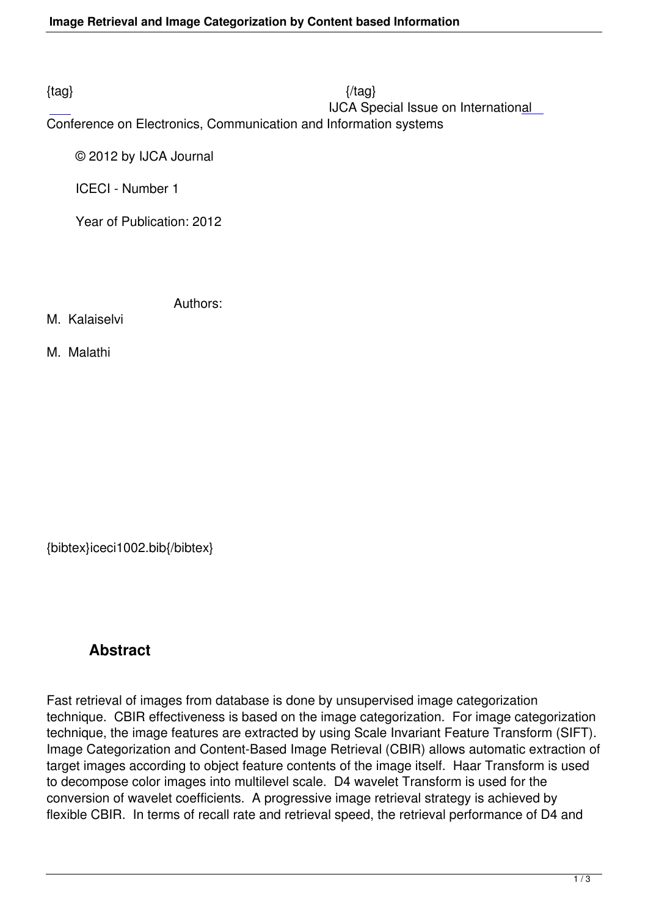$\{tag\}$ IJCA Special Issue on International

Conference on Electronics, Communication and Information systems

© 2012 by IJCA Journal

ICECI - Number 1

Year of Publication: 2012

Authors:

M. Kalaiselvi

M. Malathi

{bibtex}iceci1002.bib{/bibtex}

## **Abstract**

Fast retrieval of images from database is done by unsupervised image categorization technique. CBIR effectiveness is based on the image categorization. For image categorization technique, the image features are extracted by using Scale Invariant Feature Transform (SIFT). Image Categorization and Content-Based Image Retrieval (CBIR) allows automatic extraction of target images according to object feature contents of the image itself. Haar Transform is used to decompose color images into multilevel scale. D4 wavelet Transform is used for the conversion of wavelet coefficients. A progressive image retrieval strategy is achieved by flexible CBIR. In terms of recall rate and retrieval speed, the retrieval performance of D4 and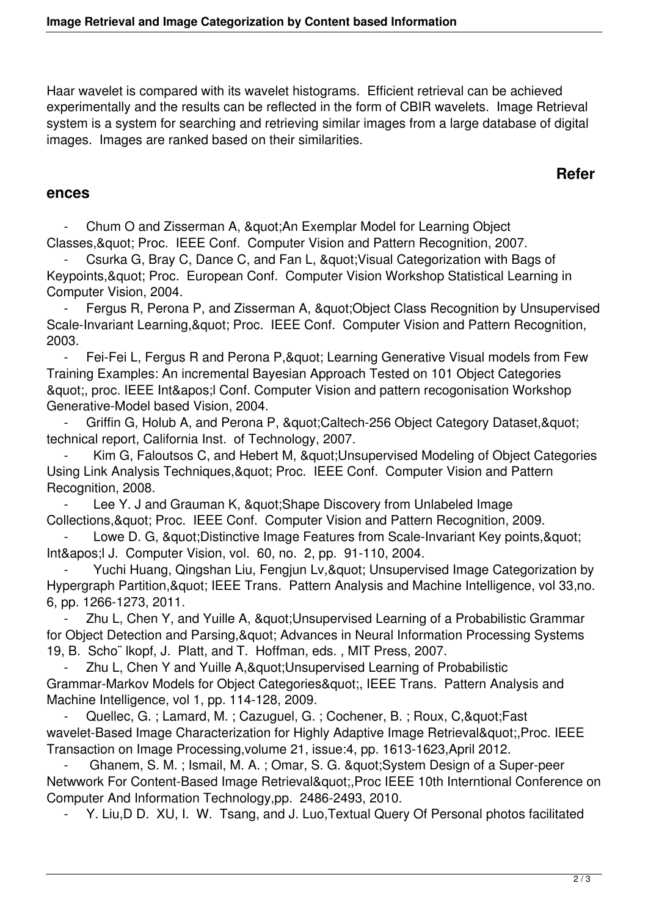Haar wavelet is compared with its wavelet histograms. Efficient retrieval can be achieved experimentally and the results can be reflected in the form of CBIR wavelets. Image Retrieval system is a system for searching and retrieving similar images from a large database of digital images. Images are ranked based on their similarities.

## **Refer**

## **ences**

Chum O and Zisserman A, " An Exemplar Model for Learning Object Classes, & quot; Proc. IEEE Conf. Computer Vision and Pattern Recognition, 2007.

Csurka G, Bray C, Dance C, and Fan L, " Visual Categorization with Bags of Keypoints, " Proc. European Conf. Computer Vision Workshop Statistical Learning in Computer Vision, 2004.

Fergus R, Perona P, and Zisserman A, " Object Class Recognition by Unsupervised Scale-Invariant Learning, & quot; Proc. IEEE Conf. Computer Vision and Pattern Recognition, 2003.

- Fei-Fei L, Fergus R and Perona P, & quot; Learning Generative Visual models from Few Training Examples: An incremental Bayesian Approach Tested on 101 Object Categories ", proc. IEEE Int' Conf. Computer Vision and pattern recogonisation Workshop Generative-Model based Vision, 2004.

Griffin G, Holub A, and Perona P, & quot; Caltech-256 Object Category Dataset, & quot; technical report, California Inst. of Technology, 2007.

Kim G, Faloutsos C, and Hebert M, " Unsupervised Modeling of Object Categories Using Link Analysis Techniques, & quot: Proc. IEEE Conf. Computer Vision and Pattern Recognition, 2008.

Lee Y. J and Grauman K, " Shape Discovery from Unlabeled Image Collections, & quot; Proc. IEEE Conf. Computer Vision and Pattern Recognition, 2009.

Lowe D. G, & quot; Distinctive Image Features from Scale-Invariant Key points, & quot; Int' I J. Computer Vision, vol. 60, no. 2, pp. 91-110, 2004.

Yuchi Huang, Qingshan Liu, Fengjun Lv, & quot; Unsupervised Image Categorization by Hypergraph Partition, & quot; IEEE Trans. Pattern Analysis and Machine Intelligence, vol 33,no. 6, pp. 1266-1273, 2011.

Zhu L, Chen Y, and Yuille A, " Unsupervised Learning of a Probabilistic Grammar for Object Detection and Parsing, & quot; Advances in Neural Information Processing Systems 19, B. Scho¨ lkopf, J. Platt, and T. Hoffman, eds. , MIT Press, 2007.

Zhu L, Chen Y and Yuille A, & quot; Unsupervised Learning of Probabilistic Grammar-Markov Models for Object Categories&quot:, IEEE Trans. Pattern Analysis and Machine Intelligence, vol 1, pp. 114-128, 2009.

Quellec, G. ; Lamard, M. ; Cazuguel, G. ; Cochener, B. ; Roux, C, & quot; Fast wavelet-Based Image Characterization for Highly Adaptive Image Retrieval", Proc. IEEE Transaction on Image Processing,volume 21, issue:4, pp. 1613-1623,April 2012.

Ghanem, S. M.; Ismail, M. A.; Omar, S. G. " System Design of a Super-peer Netwwork For Content-Based Image Retrieval" Proc IEEE 10th Interntional Conference on Computer And Information Technology,pp. 2486-2493, 2010.

Y. Liu,D D. XU, I. W. Tsang, and J. Luo,Textual Query Of Personal photos facilitated